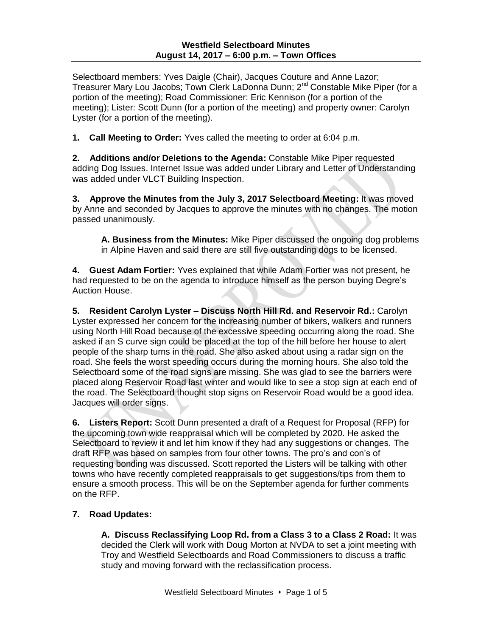Selectboard members: Yves Daigle (Chair), Jacques Couture and Anne Lazor; Treasurer Mary Lou Jacobs; Town Clerk LaDonna Dunn; 2<sup>nd</sup> Constable Mike Piper (for a portion of the meeting); Road Commissioner: Eric Kennison (for a portion of the meeting); Lister: Scott Dunn (for a portion of the meeting) and property owner: Carolyn Lyster (for a portion of the meeting).

**1. Call Meeting to Order:** Yves called the meeting to order at 6:04 p.m.

**2. Additions and/or Deletions to the Agenda:** Constable Mike Piper requested adding Dog Issues. Internet Issue was added under Library and Letter of Understanding was added under VLCT Building Inspection.

**3. Approve the Minutes from the July 3, 2017 Selectboard Meeting:** It was moved by Anne and seconded by Jacques to approve the minutes with no changes. The motion passed unanimously.

**A. Business from the Minutes:** Mike Piper discussed the ongoing dog problems in Alpine Haven and said there are still five outstanding dogs to be licensed.

**4. Guest Adam Fortier:** Yves explained that while Adam Fortier was not present, he had requested to be on the agenda to introduce himself as the person buying Degre's Auction House.

**5. Resident Carolyn Lyster – Discuss North Hill Rd. and Reservoir Rd.:** Carolyn Lyster expressed her concern for the increasing number of bikers, walkers and runners using North Hill Road because of the excessive speeding occurring along the road. She asked if an S curve sign could be placed at the top of the hill before her house to alert people of the sharp turns in the road. She also asked about using a radar sign on the road. She feels the worst speeding occurs during the morning hours. She also told the Selectboard some of the road signs are missing. She was glad to see the barriers were placed along Reservoir Road last winter and would like to see a stop sign at each end of the road. The Selectboard thought stop signs on Reservoir Road would be a good idea. Jacques will order signs.

**6. Listers Report:** Scott Dunn presented a draft of a Request for Proposal (RFP) for the upcoming town wide reappraisal which will be completed by 2020. He asked the Selectboard to review it and let him know if they had any suggestions or changes. The draft RFP was based on samples from four other towns. The pro's and con's of requesting bonding was discussed. Scott reported the Listers will be talking with other towns who have recently completed reappraisals to get suggestions/tips from them to ensure a smooth process. This will be on the September agenda for further comments on the RFP.

# **7. Road Updates:**

**A. Discuss Reclassifying Loop Rd. from a Class 3 to a Class 2 Road:** It was decided the Clerk will work with Doug Morton at NVDA to set a joint meeting with Troy and Westfield Selectboards and Road Commissioners to discuss a traffic study and moving forward with the reclassification process.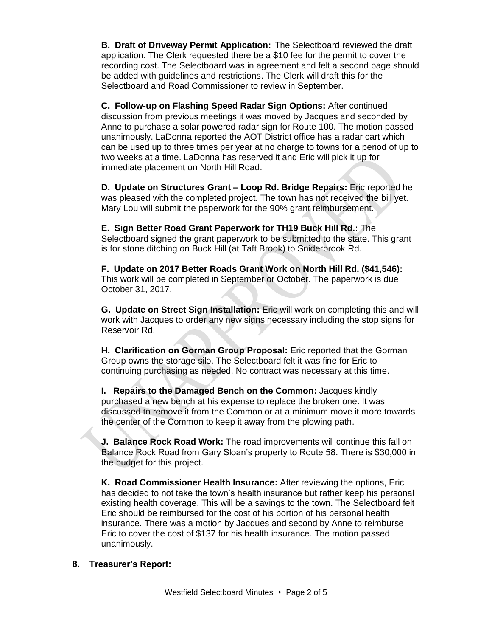**B. Draft of Driveway Permit Application:** The Selectboard reviewed the draft application. The Clerk requested there be a \$10 fee for the permit to cover the recording cost. The Selectboard was in agreement and felt a second page should be added with guidelines and restrictions. The Clerk will draft this for the Selectboard and Road Commissioner to review in September.

**C. Follow-up on Flashing Speed Radar Sign Options:** After continued discussion from previous meetings it was moved by Jacques and seconded by Anne to purchase a solar powered radar sign for Route 100. The motion passed unanimously. LaDonna reported the AOT District office has a radar cart which can be used up to three times per year at no charge to towns for a period of up to two weeks at a time. LaDonna has reserved it and Eric will pick it up for immediate placement on North Hill Road.

**D. Update on Structures Grant – Loop Rd. Bridge Repairs:** Eric reported he was pleased with the completed project. The town has not received the bill yet. Mary Lou will submit the paperwork for the 90% grant reimbursement.

**E. Sign Better Road Grant Paperwork for TH19 Buck Hill Rd.:** The Selectboard signed the grant paperwork to be submitted to the state. This grant is for stone ditching on Buck Hill (at Taft Brook) to Sniderbrook Rd.

**F. Update on 2017 Better Roads Grant Work on North Hill Rd. (\$41,546):** This work will be completed in September or October. The paperwork is due October 31, 2017.

**G. Update on Street Sign Installation:** Eric will work on completing this and will work with Jacques to order any new signs necessary including the stop signs for Reservoir Rd.

**H. Clarification on Gorman Group Proposal:** Eric reported that the Gorman Group owns the storage silo. The Selectboard felt it was fine for Eric to continuing purchasing as needed. No contract was necessary at this time.

**I. Repairs to the Damaged Bench on the Common:** Jacques kindly purchased a new bench at his expense to replace the broken one. It was discussed to remove it from the Common or at a minimum move it more towards the center of the Common to keep it away from the plowing path.

**J. Balance Rock Road Work:** The road improvements will continue this fall on Balance Rock Road from Gary Sloan's property to Route 58. There is \$30,000 in the budget for this project.

**K. Road Commissioner Health Insurance:** After reviewing the options, Eric has decided to not take the town's health insurance but rather keep his personal existing health coverage. This will be a savings to the town. The Selectboard felt Eric should be reimbursed for the cost of his portion of his personal health insurance. There was a motion by Jacques and second by Anne to reimburse Eric to cover the cost of \$137 for his health insurance. The motion passed unanimously.

#### **8. Treasurer's Report:**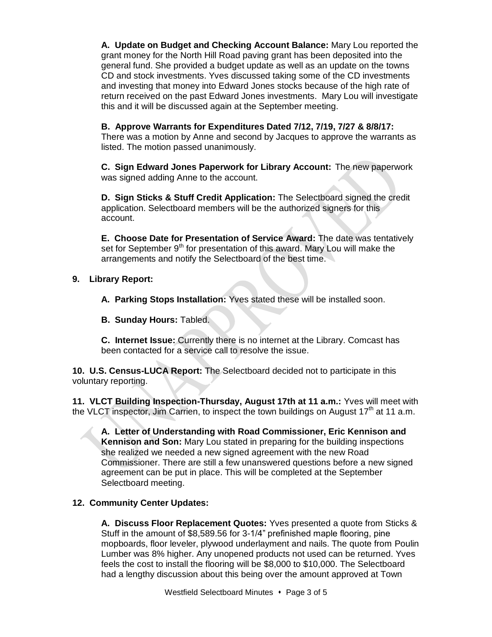**A. Update on Budget and Checking Account Balance:** Mary Lou reported the grant money for the North Hill Road paving grant has been deposited into the general fund. She provided a budget update as well as an update on the towns CD and stock investments. Yves discussed taking some of the CD investments and investing that money into Edward Jones stocks because of the high rate of return received on the past Edward Jones investments. Mary Lou will investigate this and it will be discussed again at the September meeting.

# **B. Approve Warrants for Expenditures Dated 7/12, 7/19, 7/27 & 8/8/17:**

There was a motion by Anne and second by Jacques to approve the warrants as listed. The motion passed unanimously.

**C. Sign Edward Jones Paperwork for Library Account:** The new paperwork was signed adding Anne to the account.

**D. Sign Sticks & Stuff Credit Application:** The Selectboard signed the credit application. Selectboard members will be the authorized signers for this account.

**E. Choose Date for Presentation of Service Award:** The date was tentatively set for September 9<sup>th</sup> for presentation of this award. Mary Lou will make the arrangements and notify the Selectboard of the best time.

# **9. Library Report:**

**A. Parking Stops Installation:** Yves stated these will be installed soon.

**B. Sunday Hours:** Tabled.

**C. Internet Issue:** Currently there is no internet at the Library. Comcast has been contacted for a service call to resolve the issue.

**10. U.S. Census-LUCA Report:** The Selectboard decided not to participate in this voluntary reporting.

**11. VLCT Building Inspection-Thursday, August 17th at 11 a.m.:** Yves will meet with the VLCT inspector, Jim Carrien, to inspect the town buildings on August  $17<sup>th</sup>$  at 11 a.m.

**A. Letter of Understanding with Road Commissioner, Eric Kennison and Kennison and Son:** Mary Lou stated in preparing for the building inspections she realized we needed a new signed agreement with the new Road Commissioner. There are still a few unanswered questions before a new signed agreement can be put in place. This will be completed at the September Selectboard meeting.

# **12. Community Center Updates:**

**A. Discuss Floor Replacement Quotes:** Yves presented a quote from Sticks & Stuff in the amount of \$8,589.56 for 3-1/4" prefinished maple flooring, pine mopboards, floor leveler, plywood underlayment and nails. The quote from Poulin Lumber was 8% higher. Any unopened products not used can be returned. Yves feels the cost to install the flooring will be \$8,000 to \$10,000. The Selectboard had a lengthy discussion about this being over the amount approved at Town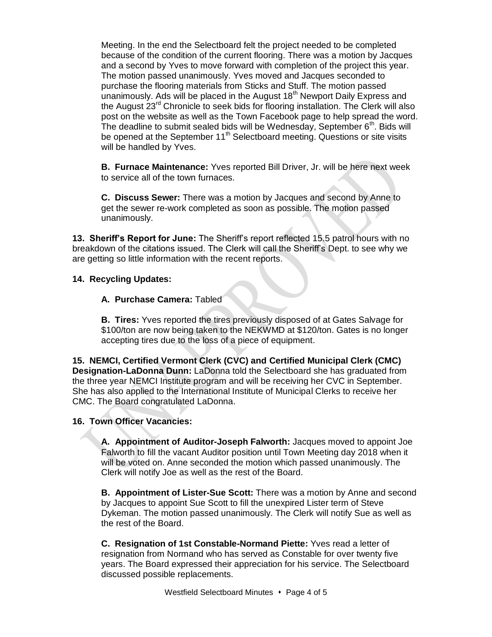Meeting. In the end the Selectboard felt the project needed to be completed because of the condition of the current flooring. There was a motion by Jacques and a second by Yves to move forward with completion of the project this year. The motion passed unanimously. Yves moved and Jacques seconded to purchase the flooring materials from Sticks and Stuff. The motion passed unanimously. Ads will be placed in the August  $18<sup>th</sup>$  Newport Daily Express and the August 23rd Chronicle to seek bids for flooring installation. The Clerk will also post on the website as well as the Town Facebook page to help spread the word. The deadline to submit sealed bids will be Wednesday, September  $6<sup>th</sup>$ . Bids will be opened at the September  $11<sup>th</sup>$  Selectboard meeting. Questions or site visits will be handled by Yves.

**B. Furnace Maintenance:** Yves reported Bill Driver, Jr. will be here next week to service all of the town furnaces.

**C. Discuss Sewer:** There was a motion by Jacques and second by Anne to get the sewer re-work completed as soon as possible. The motion passed unanimously.

**13. Sheriff's Report for June:** The Sheriff's report reflected 15.5 patrol hours with no breakdown of the citations issued. The Clerk will call the Sheriff's Dept. to see why we are getting so little information with the recent reports.

#### **14. Recycling Updates:**

#### **A. Purchase Camera:** Tabled

**B. Tires:** Yves reported the tires previously disposed of at Gates Salvage for \$100/ton are now being taken to the NEKWMD at \$120/ton. Gates is no longer accepting tires due to the loss of a piece of equipment.

**15. NEMCI, Certified Vermont Clerk (CVC) and Certified Municipal Clerk (CMC) Designation-LaDonna Dunn:** LaDonna told the Selectboard she has graduated from the three year NEMCI Institute program and will be receiving her CVC in September. She has also applied to the International Institute of Municipal Clerks to receive her CMC. The Board congratulated LaDonna.

#### **16. Town Officer Vacancies:**

**A. Appointment of Auditor-Joseph Falworth:** Jacques moved to appoint Joe Falworth to fill the vacant Auditor position until Town Meeting day 2018 when it will be voted on. Anne seconded the motion which passed unanimously. The Clerk will notify Joe as well as the rest of the Board.

**B. Appointment of Lister-Sue Scott:** There was a motion by Anne and second by Jacques to appoint Sue Scott to fill the unexpired Lister term of Steve Dykeman. The motion passed unanimously. The Clerk will notify Sue as well as the rest of the Board.

**C. Resignation of 1st Constable-Normand Piette:** Yves read a letter of resignation from Normand who has served as Constable for over twenty five years. The Board expressed their appreciation for his service. The Selectboard discussed possible replacements.